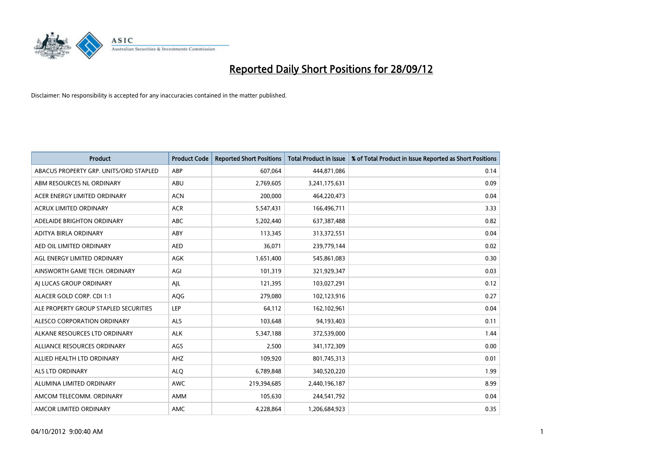

| <b>Product</b>                         | <b>Product Code</b> | <b>Reported Short Positions</b> | <b>Total Product in Issue</b> | % of Total Product in Issue Reported as Short Positions |
|----------------------------------------|---------------------|---------------------------------|-------------------------------|---------------------------------------------------------|
| ABACUS PROPERTY GRP. UNITS/ORD STAPLED | ABP                 | 607,064                         | 444,871,086                   | 0.14                                                    |
| ABM RESOURCES NL ORDINARY              | ABU                 | 2,769,605                       | 3,241,175,631                 | 0.09                                                    |
| ACER ENERGY LIMITED ORDINARY           | <b>ACN</b>          | 200,000                         | 464,220,473                   | 0.04                                                    |
| ACRUX LIMITED ORDINARY                 | <b>ACR</b>          | 5,547,431                       | 166,496,711                   | 3.33                                                    |
| ADELAIDE BRIGHTON ORDINARY             | <b>ABC</b>          | 5,202,440                       | 637, 387, 488                 | 0.82                                                    |
| ADITYA BIRLA ORDINARY                  | ABY                 | 113,345                         | 313,372,551                   | 0.04                                                    |
| AED OIL LIMITED ORDINARY               | <b>AED</b>          | 36,071                          | 239,779,144                   | 0.02                                                    |
| AGL ENERGY LIMITED ORDINARY            | <b>AGK</b>          | 1,651,400                       | 545,861,083                   | 0.30                                                    |
| AINSWORTH GAME TECH. ORDINARY          | AGI                 | 101,319                         | 321,929,347                   | 0.03                                                    |
| AI LUCAS GROUP ORDINARY                | AJL                 | 121,395                         | 103,027,291                   | 0.12                                                    |
| ALACER GOLD CORP. CDI 1:1              | AQG                 | 279,080                         | 102,123,916                   | 0.27                                                    |
| ALE PROPERTY GROUP STAPLED SECURITIES  | LEP                 | 64,112                          | 162,102,961                   | 0.04                                                    |
| ALESCO CORPORATION ORDINARY            | <b>ALS</b>          | 103,648                         | 94,193,403                    | 0.11                                                    |
| ALKANE RESOURCES LTD ORDINARY          | <b>ALK</b>          | 5,347,188                       | 372,539,000                   | 1.44                                                    |
| ALLIANCE RESOURCES ORDINARY            | AGS                 | 2,500                           | 341,172,309                   | 0.00                                                    |
| ALLIED HEALTH LTD ORDINARY             | AHZ                 | 109,920                         | 801,745,313                   | 0.01                                                    |
| ALS LTD ORDINARY                       | <b>ALO</b>          | 6,789,848                       | 340,520,220                   | 1.99                                                    |
| ALUMINA LIMITED ORDINARY               | <b>AWC</b>          | 219,394,685                     | 2,440,196,187                 | 8.99                                                    |
| AMCOM TELECOMM, ORDINARY               | <b>AMM</b>          | 105,630                         | 244,541,792                   | 0.04                                                    |
| AMCOR LIMITED ORDINARY                 | <b>AMC</b>          | 4.228.864                       | 1,206,684,923                 | 0.35                                                    |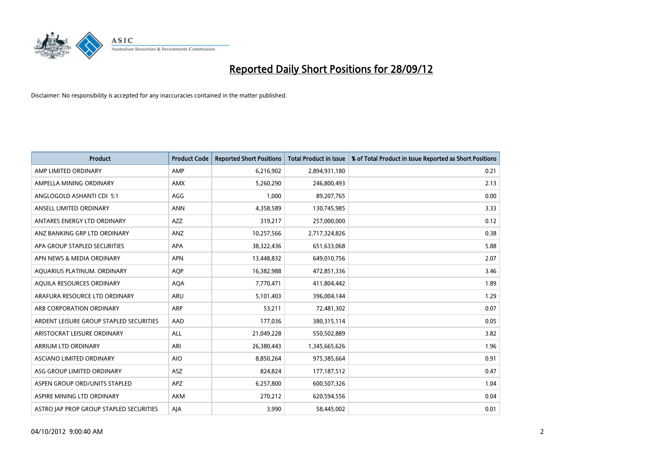

| <b>Product</b>                          | <b>Product Code</b> | <b>Reported Short Positions</b> | <b>Total Product in Issue</b> | % of Total Product in Issue Reported as Short Positions |
|-----------------------------------------|---------------------|---------------------------------|-------------------------------|---------------------------------------------------------|
| AMP LIMITED ORDINARY                    | AMP                 | 6,216,902                       | 2,894,931,180                 | 0.21                                                    |
| AMPELLA MINING ORDINARY                 | <b>AMX</b>          | 5,260,290                       | 246,800,493                   | 2.13                                                    |
| ANGLOGOLD ASHANTI CDI 5:1               | AGG                 | 1,000                           | 89,207,765                    | 0.00                                                    |
| ANSELL LIMITED ORDINARY                 | <b>ANN</b>          | 4,358,589                       | 130,745,985                   | 3.33                                                    |
| ANTARES ENERGY LTD ORDINARY             | <b>AZZ</b>          | 319,217                         | 257,000,000                   | 0.12                                                    |
| ANZ BANKING GRP LTD ORDINARY            | ANZ                 | 10,257,566                      | 2,717,324,826                 | 0.38                                                    |
| APA GROUP STAPLED SECURITIES            | <b>APA</b>          | 38,322,436                      | 651,633,068                   | 5.88                                                    |
| APN NEWS & MEDIA ORDINARY               | <b>APN</b>          | 13,448,832                      | 649,010,756                   | 2.07                                                    |
| AQUARIUS PLATINUM. ORDINARY             | <b>AOP</b>          | 16,382,988                      | 472,851,336                   | 3.46                                                    |
| AQUILA RESOURCES ORDINARY               | <b>AQA</b>          | 7,770,471                       | 411,804,442                   | 1.89                                                    |
| ARAFURA RESOURCE LTD ORDINARY           | ARU                 | 5,101,403                       | 396,004,144                   | 1.29                                                    |
| ARB CORPORATION ORDINARY                | <b>ARP</b>          | 53,211                          | 72,481,302                    | 0.07                                                    |
| ARDENT LEISURE GROUP STAPLED SECURITIES | AAD                 | 177,036                         | 380, 315, 114                 | 0.05                                                    |
| ARISTOCRAT LEISURE ORDINARY             | ALL                 | 21,049,228                      | 550,502,889                   | 3.82                                                    |
| <b>ARRIUM LTD ORDINARY</b>              | ARI                 | 26,380,443                      | 1,345,665,626                 | 1.96                                                    |
| ASCIANO LIMITED ORDINARY                | <b>AIO</b>          | 8,850,264                       | 975,385,664                   | 0.91                                                    |
| ASG GROUP LIMITED ORDINARY              | ASZ                 | 824,824                         | 177, 187, 512                 | 0.47                                                    |
| ASPEN GROUP ORD/UNITS STAPLED           | <b>APZ</b>          | 6,257,800                       | 600,507,326                   | 1.04                                                    |
| ASPIRE MINING LTD ORDINARY              | <b>AKM</b>          | 270,212                         | 620,594,556                   | 0.04                                                    |
| ASTRO JAP PROP GROUP STAPLED SECURITIES | AJA                 | 3,990                           | 58,445,002                    | 0.01                                                    |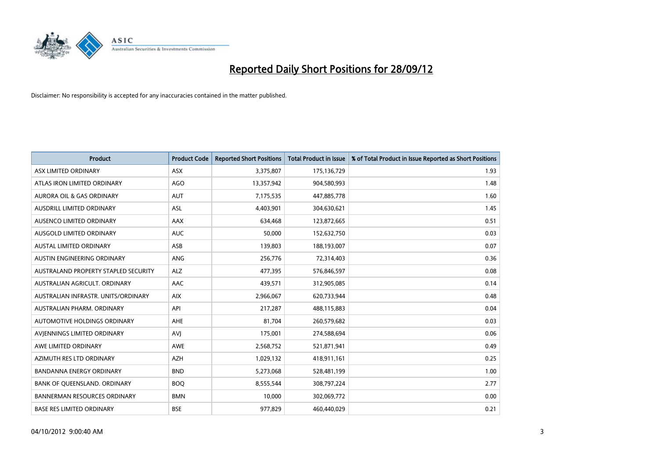

| <b>Product</b>                       | <b>Product Code</b> | <b>Reported Short Positions</b> | <b>Total Product in Issue</b> | % of Total Product in Issue Reported as Short Positions |
|--------------------------------------|---------------------|---------------------------------|-------------------------------|---------------------------------------------------------|
| ASX LIMITED ORDINARY                 | <b>ASX</b>          | 3,375,807                       | 175,136,729                   | 1.93                                                    |
| ATLAS IRON LIMITED ORDINARY          | AGO                 | 13,357,942                      | 904,580,993                   | 1.48                                                    |
| <b>AURORA OIL &amp; GAS ORDINARY</b> | <b>AUT</b>          | 7,175,535                       | 447,885,778                   | 1.60                                                    |
| AUSDRILL LIMITED ORDINARY            | <b>ASL</b>          | 4,403,901                       | 304,630,621                   | 1.45                                                    |
| AUSENCO LIMITED ORDINARY             | AAX                 | 634,468                         | 123,872,665                   | 0.51                                                    |
| AUSGOLD LIMITED ORDINARY             | <b>AUC</b>          | 50,000                          | 152,632,750                   | 0.03                                                    |
| AUSTAL LIMITED ORDINARY              | ASB                 | 139,803                         | 188,193,007                   | 0.07                                                    |
| <b>AUSTIN ENGINEERING ORDINARY</b>   | <b>ANG</b>          | 256,776                         | 72,314,403                    | 0.36                                                    |
| AUSTRALAND PROPERTY STAPLED SECURITY | <b>ALZ</b>          | 477,395                         | 576,846,597                   | 0.08                                                    |
| AUSTRALIAN AGRICULT, ORDINARY        | AAC                 | 439,571                         | 312,905,085                   | 0.14                                                    |
| AUSTRALIAN INFRASTR. UNITS/ORDINARY  | <b>AIX</b>          | 2,966,067                       | 620,733,944                   | 0.48                                                    |
| AUSTRALIAN PHARM. ORDINARY           | API                 | 217,287                         | 488,115,883                   | 0.04                                                    |
| AUTOMOTIVE HOLDINGS ORDINARY         | <b>AHE</b>          | 81,704                          | 260,579,682                   | 0.03                                                    |
| AVIENNINGS LIMITED ORDINARY          | AVI                 | 175,001                         | 274,588,694                   | 0.06                                                    |
| AWE LIMITED ORDINARY                 | <b>AWE</b>          | 2,568,752                       | 521,871,941                   | 0.49                                                    |
| AZIMUTH RES LTD ORDINARY             | <b>AZH</b>          | 1,029,132                       | 418,911,161                   | 0.25                                                    |
| BANDANNA ENERGY ORDINARY             | <b>BND</b>          | 5,273,068                       | 528,481,199                   | 1.00                                                    |
| BANK OF QUEENSLAND. ORDINARY         | <b>BOQ</b>          | 8,555,544                       | 308,797,224                   | 2.77                                                    |
| <b>BANNERMAN RESOURCES ORDINARY</b>  | <b>BMN</b>          | 10,000                          | 302,069,772                   | 0.00                                                    |
| <b>BASE RES LIMITED ORDINARY</b>     | <b>BSE</b>          | 977,829                         | 460,440,029                   | 0.21                                                    |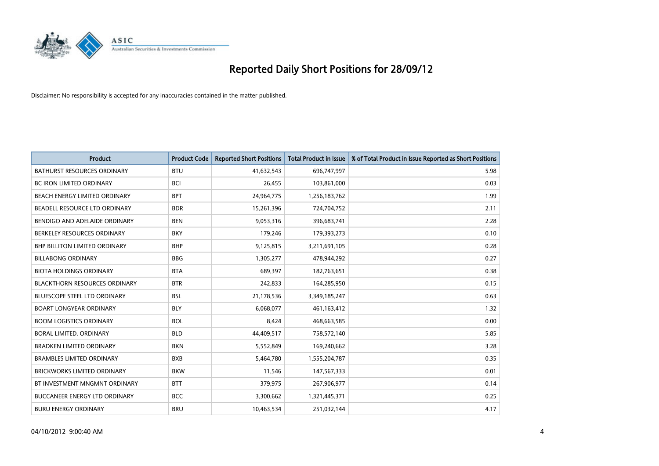

| <b>Product</b>                       | <b>Product Code</b> | <b>Reported Short Positions</b> | <b>Total Product in Issue</b> | % of Total Product in Issue Reported as Short Positions |
|--------------------------------------|---------------------|---------------------------------|-------------------------------|---------------------------------------------------------|
| <b>BATHURST RESOURCES ORDINARY</b>   | <b>BTU</b>          | 41,632,543                      | 696,747,997                   | 5.98                                                    |
| BC IRON LIMITED ORDINARY             | <b>BCI</b>          | 26,455                          | 103,861,000                   | 0.03                                                    |
| <b>BEACH ENERGY LIMITED ORDINARY</b> | <b>BPT</b>          | 24,964,775                      | 1,256,183,762                 | 1.99                                                    |
| BEADELL RESOURCE LTD ORDINARY        | <b>BDR</b>          | 15,261,396                      | 724,704,752                   | 2.11                                                    |
| BENDIGO AND ADELAIDE ORDINARY        | <b>BEN</b>          | 9,053,316                       | 396,683,741                   | 2.28                                                    |
| BERKELEY RESOURCES ORDINARY          | <b>BKY</b>          | 179,246                         | 179,393,273                   | 0.10                                                    |
| <b>BHP BILLITON LIMITED ORDINARY</b> | <b>BHP</b>          | 9,125,815                       | 3,211,691,105                 | 0.28                                                    |
| <b>BILLABONG ORDINARY</b>            | <b>BBG</b>          | 1,305,277                       | 478,944,292                   | 0.27                                                    |
| <b>BIOTA HOLDINGS ORDINARY</b>       | <b>BTA</b>          | 689,397                         | 182,763,651                   | 0.38                                                    |
| <b>BLACKTHORN RESOURCES ORDINARY</b> | <b>BTR</b>          | 242,833                         | 164,285,950                   | 0.15                                                    |
| <b>BLUESCOPE STEEL LTD ORDINARY</b>  | <b>BSL</b>          | 21,178,536                      | 3,349,185,247                 | 0.63                                                    |
| <b>BOART LONGYEAR ORDINARY</b>       | <b>BLY</b>          | 6,068,077                       | 461,163,412                   | 1.32                                                    |
| <b>BOOM LOGISTICS ORDINARY</b>       | <b>BOL</b>          | 8,424                           | 468,663,585                   | 0.00                                                    |
| BORAL LIMITED, ORDINARY              | <b>BLD</b>          | 44,409,517                      | 758,572,140                   | 5.85                                                    |
| <b>BRADKEN LIMITED ORDINARY</b>      | <b>BKN</b>          | 5,552,849                       | 169,240,662                   | 3.28                                                    |
| <b>BRAMBLES LIMITED ORDINARY</b>     | <b>BXB</b>          | 5,464,780                       | 1,555,204,787                 | 0.35                                                    |
| <b>BRICKWORKS LIMITED ORDINARY</b>   | <b>BKW</b>          | 11,546                          | 147,567,333                   | 0.01                                                    |
| BT INVESTMENT MNGMNT ORDINARY        | <b>BTT</b>          | 379,975                         | 267,906,977                   | 0.14                                                    |
| <b>BUCCANEER ENERGY LTD ORDINARY</b> | <b>BCC</b>          | 3,300,662                       | 1,321,445,371                 | 0.25                                                    |
| <b>BURU ENERGY ORDINARY</b>          | <b>BRU</b>          | 10,463,534                      | 251,032,144                   | 4.17                                                    |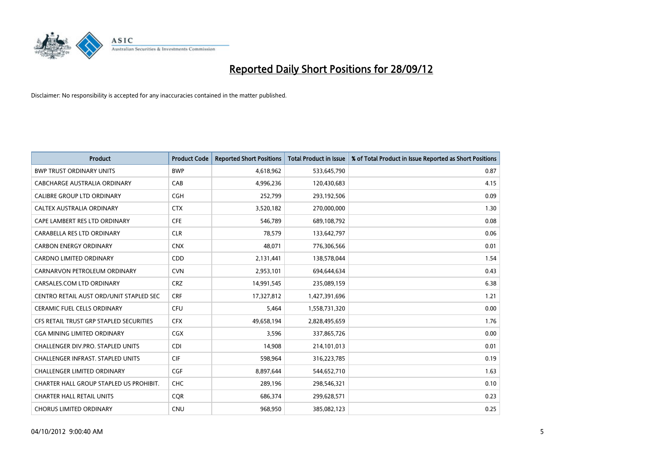

| <b>Product</b>                          | <b>Product Code</b> | <b>Reported Short Positions</b> | <b>Total Product in Issue</b> | % of Total Product in Issue Reported as Short Positions |
|-----------------------------------------|---------------------|---------------------------------|-------------------------------|---------------------------------------------------------|
| <b>BWP TRUST ORDINARY UNITS</b>         | <b>BWP</b>          | 4,618,962                       | 533,645,790                   | 0.87                                                    |
| CABCHARGE AUSTRALIA ORDINARY            | CAB                 | 4,996,236                       | 120,430,683                   | 4.15                                                    |
| <b>CALIBRE GROUP LTD ORDINARY</b>       | <b>CGH</b>          | 252,799                         | 293,192,506                   | 0.09                                                    |
| CALTEX AUSTRALIA ORDINARY               | <b>CTX</b>          | 3,520,182                       | 270,000,000                   | 1.30                                                    |
| CAPE LAMBERT RES LTD ORDINARY           | <b>CFE</b>          | 546,789                         | 689,108,792                   | 0.08                                                    |
| CARABELLA RES LTD ORDINARY              | <b>CLR</b>          | 78,579                          | 133,642,797                   | 0.06                                                    |
| <b>CARBON ENERGY ORDINARY</b>           | <b>CNX</b>          | 48,071                          | 776,306,566                   | 0.01                                                    |
| <b>CARDNO LIMITED ORDINARY</b>          | CDD                 | 2,131,441                       | 138,578,044                   | 1.54                                                    |
| CARNARVON PETROLEUM ORDINARY            | <b>CVN</b>          | 2,953,101                       | 694,644,634                   | 0.43                                                    |
| CARSALES.COM LTD ORDINARY               | <b>CRZ</b>          | 14,991,545                      | 235,089,159                   | 6.38                                                    |
| CENTRO RETAIL AUST ORD/UNIT STAPLED SEC | <b>CRF</b>          | 17,327,812                      | 1,427,391,696                 | 1.21                                                    |
| CERAMIC FUEL CELLS ORDINARY             | <b>CFU</b>          | 5,464                           | 1,558,731,320                 | 0.00                                                    |
| CFS RETAIL TRUST GRP STAPLED SECURITIES | <b>CFX</b>          | 49,658,194                      | 2,828,495,659                 | 1.76                                                    |
| <b>CGA MINING LIMITED ORDINARY</b>      | <b>CGX</b>          | 3,596                           | 337,865,726                   | 0.00                                                    |
| CHALLENGER DIV.PRO. STAPLED UNITS       | <b>CDI</b>          | 14,908                          | 214,101,013                   | 0.01                                                    |
| CHALLENGER INFRAST. STAPLED UNITS       | <b>CIF</b>          | 598,964                         | 316,223,785                   | 0.19                                                    |
| CHALLENGER LIMITED ORDINARY             | <b>CGF</b>          | 8,897,644                       | 544,652,710                   | 1.63                                                    |
| CHARTER HALL GROUP STAPLED US PROHIBIT. | <b>CHC</b>          | 289,196                         | 298,546,321                   | 0.10                                                    |
| <b>CHARTER HALL RETAIL UNITS</b>        | <b>COR</b>          | 686,374                         | 299,628,571                   | 0.23                                                    |
| <b>CHORUS LIMITED ORDINARY</b>          | <b>CNU</b>          | 968,950                         | 385,082,123                   | 0.25                                                    |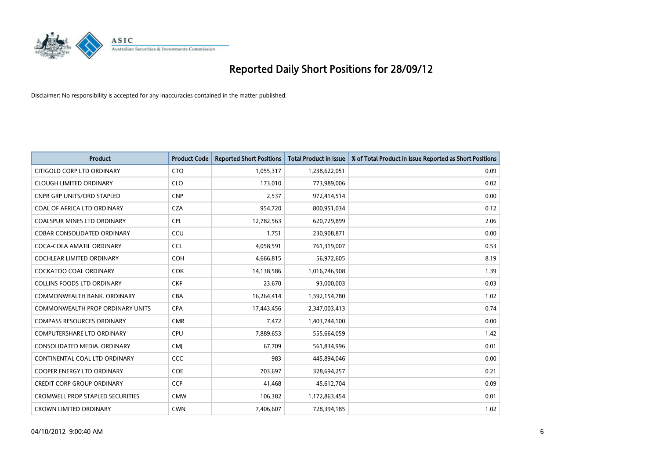

| <b>Product</b>                          | <b>Product Code</b> | <b>Reported Short Positions</b> | <b>Total Product in Issue</b> | % of Total Product in Issue Reported as Short Positions |
|-----------------------------------------|---------------------|---------------------------------|-------------------------------|---------------------------------------------------------|
| CITIGOLD CORP LTD ORDINARY              | <b>CTO</b>          | 1,055,317                       | 1,238,622,051                 | 0.09                                                    |
| <b>CLOUGH LIMITED ORDINARY</b>          | <b>CLO</b>          | 173,010                         | 773,989,006                   | 0.02                                                    |
| <b>CNPR GRP UNITS/ORD STAPLED</b>       | <b>CNP</b>          | 2,537                           | 972,414,514                   | 0.00                                                    |
| COAL OF AFRICA LTD ORDINARY             | <b>CZA</b>          | 954,720                         | 800,951,034                   | 0.12                                                    |
| <b>COALSPUR MINES LTD ORDINARY</b>      | CPL                 | 12,782,563                      | 620,729,899                   | 2.06                                                    |
| <b>COBAR CONSOLIDATED ORDINARY</b>      | CCU                 | 1,751                           | 230,908,871                   | 0.00                                                    |
| COCA-COLA AMATIL ORDINARY               | <b>CCL</b>          | 4,058,591                       | 761,319,007                   | 0.53                                                    |
| COCHLEAR LIMITED ORDINARY               | <b>COH</b>          | 4,666,815                       | 56,972,605                    | 8.19                                                    |
| COCKATOO COAL ORDINARY                  | <b>COK</b>          | 14,138,586                      | 1,016,746,908                 | 1.39                                                    |
| <b>COLLINS FOODS LTD ORDINARY</b>       | <b>CKF</b>          | 23,670                          | 93,000,003                    | 0.03                                                    |
| COMMONWEALTH BANK, ORDINARY             | <b>CBA</b>          | 16,264,414                      | 1,592,154,780                 | 1.02                                                    |
| <b>COMMONWEALTH PROP ORDINARY UNITS</b> | <b>CPA</b>          | 17,443,456                      | 2,347,003,413                 | 0.74                                                    |
| <b>COMPASS RESOURCES ORDINARY</b>       | <b>CMR</b>          | 7,472                           | 1,403,744,100                 | 0.00                                                    |
| <b>COMPUTERSHARE LTD ORDINARY</b>       | <b>CPU</b>          | 7,889,653                       | 555,664,059                   | 1.42                                                    |
| CONSOLIDATED MEDIA, ORDINARY            | <b>CMI</b>          | 67,709                          | 561,834,996                   | 0.01                                                    |
| CONTINENTAL COAL LTD ORDINARY           | CCC                 | 983                             | 445,894,046                   | 0.00                                                    |
| <b>COOPER ENERGY LTD ORDINARY</b>       | <b>COE</b>          | 703,697                         | 328,694,257                   | 0.21                                                    |
| <b>CREDIT CORP GROUP ORDINARY</b>       | <b>CCP</b>          | 41,468                          | 45,612,704                    | 0.09                                                    |
| <b>CROMWELL PROP STAPLED SECURITIES</b> | <b>CMW</b>          | 106,382                         | 1,172,863,454                 | 0.01                                                    |
| <b>CROWN LIMITED ORDINARY</b>           | <b>CWN</b>          | 7,406,607                       | 728,394,185                   | 1.02                                                    |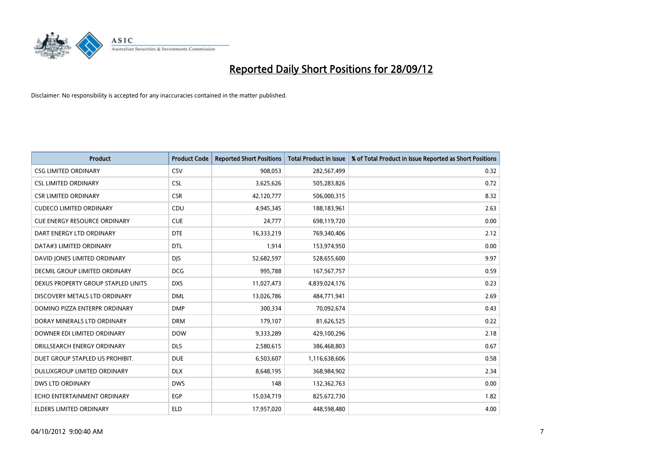

| <b>Product</b>                       | <b>Product Code</b> | <b>Reported Short Positions</b> | <b>Total Product in Issue</b> | % of Total Product in Issue Reported as Short Positions |
|--------------------------------------|---------------------|---------------------------------|-------------------------------|---------------------------------------------------------|
| <b>CSG LIMITED ORDINARY</b>          | CSV                 | 908,053                         | 282,567,499                   | 0.32                                                    |
| <b>CSL LIMITED ORDINARY</b>          | <b>CSL</b>          | 3,625,626                       | 505,283,826                   | 0.72                                                    |
| <b>CSR LIMITED ORDINARY</b>          | <b>CSR</b>          | 42,120,777                      | 506,000,315                   | 8.32                                                    |
| <b>CUDECO LIMITED ORDINARY</b>       | CDU                 | 4,945,345                       | 188,183,961                   | 2.63                                                    |
| <b>CUE ENERGY RESOURCE ORDINARY</b>  | <b>CUE</b>          | 24,777                          | 698,119,720                   | 0.00                                                    |
| DART ENERGY LTD ORDINARY             | <b>DTE</b>          | 16,333,219                      | 769,340,406                   | 2.12                                                    |
| DATA#3 LIMITED ORDINARY              | <b>DTL</b>          | 1,914                           | 153,974,950                   | 0.00                                                    |
| DAVID JONES LIMITED ORDINARY         | <b>DIS</b>          | 52,682,597                      | 528,655,600                   | 9.97                                                    |
| <b>DECMIL GROUP LIMITED ORDINARY</b> | <b>DCG</b>          | 995,788                         | 167,567,757                   | 0.59                                                    |
| DEXUS PROPERTY GROUP STAPLED UNITS   | <b>DXS</b>          | 11,027,473                      | 4,839,024,176                 | 0.23                                                    |
| DISCOVERY METALS LTD ORDINARY        | <b>DML</b>          | 13,026,786                      | 484,771,941                   | 2.69                                                    |
| DOMINO PIZZA ENTERPR ORDINARY        | <b>DMP</b>          | 300,334                         | 70,092,674                    | 0.43                                                    |
| DORAY MINERALS LTD ORDINARY          | <b>DRM</b>          | 179,107                         | 81,626,525                    | 0.22                                                    |
| DOWNER EDI LIMITED ORDINARY          | <b>DOW</b>          | 9,333,289                       | 429,100,296                   | 2.18                                                    |
| DRILLSEARCH ENERGY ORDINARY          | <b>DLS</b>          | 2,580,615                       | 386,468,803                   | 0.67                                                    |
| DUET GROUP STAPLED US PROHIBIT.      | <b>DUE</b>          | 6,503,607                       | 1,116,638,606                 | 0.58                                                    |
| DULUXGROUP LIMITED ORDINARY          | <b>DLX</b>          | 8,648,195                       | 368,984,902                   | 2.34                                                    |
| DWS LTD ORDINARY                     | <b>DWS</b>          | 148                             | 132,362,763                   | 0.00                                                    |
| ECHO ENTERTAINMENT ORDINARY          | <b>EGP</b>          | 15,034,719                      | 825,672,730                   | 1.82                                                    |
| ELDERS LIMITED ORDINARY              | <b>ELD</b>          | 17,957,020                      | 448,598,480                   | 4.00                                                    |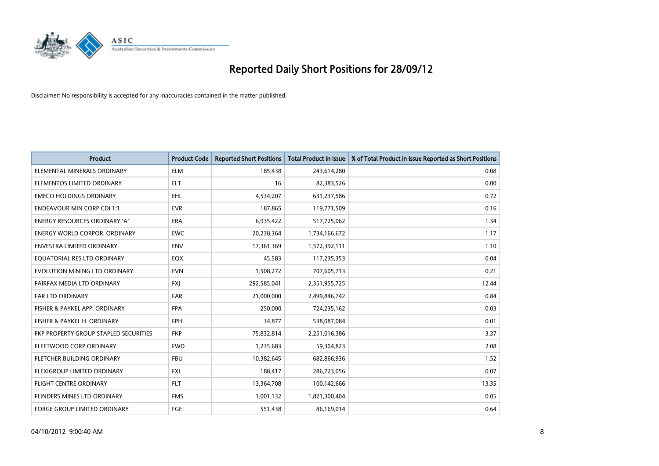

| <b>Product</b>                        | <b>Product Code</b> | <b>Reported Short Positions</b> | <b>Total Product in Issue</b> | % of Total Product in Issue Reported as Short Positions |
|---------------------------------------|---------------------|---------------------------------|-------------------------------|---------------------------------------------------------|
| ELEMENTAL MINERALS ORDINARY           | <b>ELM</b>          | 185,438                         | 243,614,280                   | 0.08                                                    |
| ELEMENTOS LIMITED ORDINARY            | <b>ELT</b>          | 16                              | 82,383,526                    | 0.00                                                    |
| <b>EMECO HOLDINGS ORDINARY</b>        | <b>EHL</b>          | 4,534,207                       | 631,237,586                   | 0.72                                                    |
| <b>ENDEAVOUR MIN CORP CDI 1:1</b>     | <b>EVR</b>          | 187,865                         | 119,771,509                   | 0.16                                                    |
| <b>ENERGY RESOURCES ORDINARY 'A'</b>  | <b>ERA</b>          | 6,935,422                       | 517,725,062                   | 1.34                                                    |
| <b>ENERGY WORLD CORPOR. ORDINARY</b>  | <b>EWC</b>          | 20,238,364                      | 1,734,166,672                 | 1.17                                                    |
| <b>ENVESTRA LIMITED ORDINARY</b>      | <b>ENV</b>          | 17,361,369                      | 1,572,392,111                 | 1.10                                                    |
| EQUATORIAL RES LTD ORDINARY           | EQX                 | 45,583                          | 117,235,353                   | 0.04                                                    |
| EVOLUTION MINING LTD ORDINARY         | <b>EVN</b>          | 1,508,272                       | 707,605,713                   | 0.21                                                    |
| FAIRFAX MEDIA LTD ORDINARY            | <b>FXI</b>          | 292,585,041                     | 2,351,955,725                 | 12.44                                                   |
| <b>FAR LTD ORDINARY</b>               | <b>FAR</b>          | 21,000,000                      | 2,499,846,742                 | 0.84                                                    |
| FISHER & PAYKEL APP. ORDINARY         | <b>FPA</b>          | 250,000                         | 724,235,162                   | 0.03                                                    |
| FISHER & PAYKEL H. ORDINARY           | <b>FPH</b>          | 34,877                          | 538,087,084                   | 0.01                                                    |
| FKP PROPERTY GROUP STAPLED SECURITIES | <b>FKP</b>          | 75,832,814                      | 2,251,016,386                 | 3.37                                                    |
| FLEETWOOD CORP ORDINARY               | <b>FWD</b>          | 1,235,683                       | 59,304,823                    | 2.08                                                    |
| <b>FLETCHER BUILDING ORDINARY</b>     | <b>FBU</b>          | 10,382,645                      | 682,866,936                   | 1.52                                                    |
| FLEXIGROUP LIMITED ORDINARY           | <b>FXL</b>          | 188,417                         | 286,723,056                   | 0.07                                                    |
| <b>FLIGHT CENTRE ORDINARY</b>         | <b>FLT</b>          | 13,364,708                      | 100,142,666                   | 13.35                                                   |
| FLINDERS MINES LTD ORDINARY           | <b>FMS</b>          | 1,001,132                       | 1,821,300,404                 | 0.05                                                    |
| <b>FORGE GROUP LIMITED ORDINARY</b>   | FGE                 | 551,438                         | 86,169,014                    | 0.64                                                    |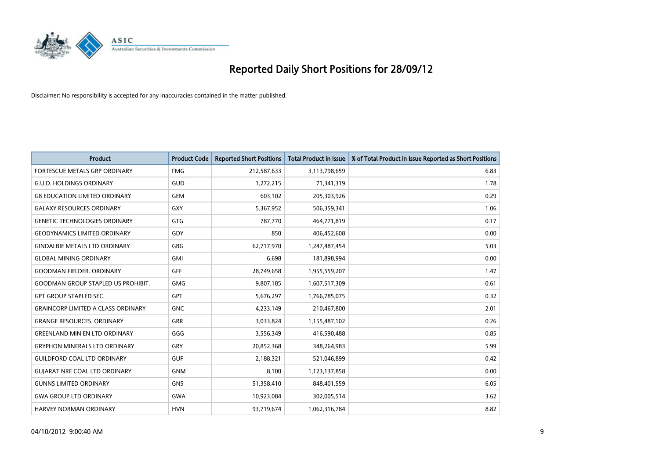

| <b>Product</b>                            | <b>Product Code</b> | <b>Reported Short Positions</b> | <b>Total Product in Issue</b> | % of Total Product in Issue Reported as Short Positions |
|-------------------------------------------|---------------------|---------------------------------|-------------------------------|---------------------------------------------------------|
| <b>FORTESCUE METALS GRP ORDINARY</b>      | <b>FMG</b>          | 212,587,633                     | 3,113,798,659                 | 6.83                                                    |
| <b>G.U.D. HOLDINGS ORDINARY</b>           | GUD                 | 1,272,215                       | 71,341,319                    | 1.78                                                    |
| <b>G8 EDUCATION LIMITED ORDINARY</b>      | <b>GEM</b>          | 603,102                         | 205,303,926                   | 0.29                                                    |
| <b>GALAXY RESOURCES ORDINARY</b>          | <b>GXY</b>          | 5,367,952                       | 506,359,341                   | 1.06                                                    |
| <b>GENETIC TECHNOLOGIES ORDINARY</b>      | <b>GTG</b>          | 787,770                         | 464,771,819                   | 0.17                                                    |
| <b>GEODYNAMICS LIMITED ORDINARY</b>       | GDY                 | 850                             | 406,452,608                   | 0.00                                                    |
| <b>GINDALBIE METALS LTD ORDINARY</b>      | <b>GBG</b>          | 62,717,970                      | 1,247,487,454                 | 5.03                                                    |
| <b>GLOBAL MINING ORDINARY</b>             | <b>GMI</b>          | 6,698                           | 181,898,994                   | 0.00                                                    |
| <b>GOODMAN FIELDER, ORDINARY</b>          | <b>GFF</b>          | 28,749,658                      | 1,955,559,207                 | 1.47                                                    |
| <b>GOODMAN GROUP STAPLED US PROHIBIT.</b> | <b>GMG</b>          | 9,807,185                       | 1,607,517,309                 | 0.61                                                    |
| <b>GPT GROUP STAPLED SEC.</b>             | <b>GPT</b>          | 5,676,297                       | 1,766,785,075                 | 0.32                                                    |
| <b>GRAINCORP LIMITED A CLASS ORDINARY</b> | <b>GNC</b>          | 4,233,149                       | 210,467,800                   | 2.01                                                    |
| <b>GRANGE RESOURCES. ORDINARY</b>         | <b>GRR</b>          | 3,033,824                       | 1,155,487,102                 | 0.26                                                    |
| <b>GREENLAND MIN EN LTD ORDINARY</b>      | GGG                 | 3,556,349                       | 416,590,488                   | 0.85                                                    |
| <b>GRYPHON MINERALS LTD ORDINARY</b>      | GRY                 | 20,852,368                      | 348,264,983                   | 5.99                                                    |
| <b>GUILDFORD COAL LTD ORDINARY</b>        | <b>GUF</b>          | 2,188,321                       | 521,046,899                   | 0.42                                                    |
| <b>GUIARAT NRE COAL LTD ORDINARY</b>      | <b>GNM</b>          | 8,100                           | 1,123,137,858                 | 0.00                                                    |
| <b>GUNNS LIMITED ORDINARY</b>             | <b>GNS</b>          | 51,358,410                      | 848,401,559                   | 6.05                                                    |
| <b>GWA GROUP LTD ORDINARY</b>             | <b>GWA</b>          | 10,923,084                      | 302,005,514                   | 3.62                                                    |
| HARVEY NORMAN ORDINARY                    | <b>HVN</b>          | 93,719,674                      | 1,062,316,784                 | 8.82                                                    |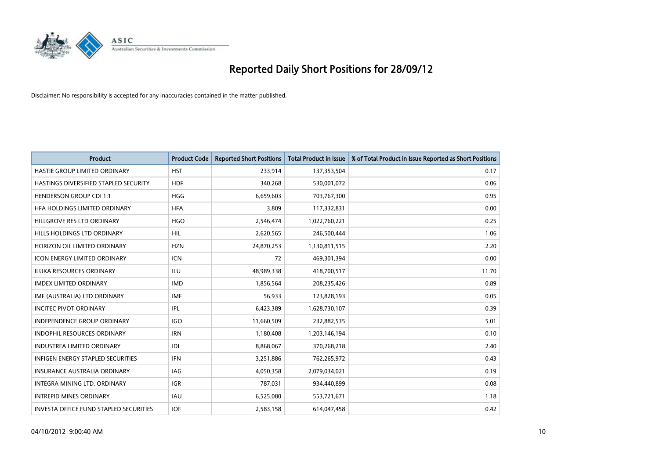

| <b>Product</b>                         | <b>Product Code</b> | <b>Reported Short Positions</b> | <b>Total Product in Issue</b> | % of Total Product in Issue Reported as Short Positions |
|----------------------------------------|---------------------|---------------------------------|-------------------------------|---------------------------------------------------------|
| HASTIE GROUP LIMITED ORDINARY          | <b>HST</b>          | 233,914                         | 137,353,504                   | 0.17                                                    |
| HASTINGS DIVERSIFIED STAPLED SECURITY  | <b>HDF</b>          | 340,268                         | 530,001,072                   | 0.06                                                    |
| <b>HENDERSON GROUP CDI 1:1</b>         | <b>HGG</b>          | 6,659,603                       | 703,767,300                   | 0.95                                                    |
| HFA HOLDINGS LIMITED ORDINARY          | <b>HFA</b>          | 3,809                           | 117,332,831                   | 0.00                                                    |
| HILLGROVE RES LTD ORDINARY             | <b>HGO</b>          | 2,546,474                       | 1,022,760,221                 | 0.25                                                    |
| HILLS HOLDINGS LTD ORDINARY            | <b>HIL</b>          | 2,620,565                       | 246,500,444                   | 1.06                                                    |
| HORIZON OIL LIMITED ORDINARY           | <b>HZN</b>          | 24,870,253                      | 1,130,811,515                 | 2.20                                                    |
| ICON ENERGY LIMITED ORDINARY           | <b>ICN</b>          | 72                              | 469,301,394                   | 0.00                                                    |
| <b>ILUKA RESOURCES ORDINARY</b>        | ILU                 | 48,989,338                      | 418,700,517                   | 11.70                                                   |
| <b>IMDEX LIMITED ORDINARY</b>          | <b>IMD</b>          | 1,856,564                       | 208,235,426                   | 0.89                                                    |
| IMF (AUSTRALIA) LTD ORDINARY           | <b>IMF</b>          | 56,933                          | 123,828,193                   | 0.05                                                    |
| <b>INCITEC PIVOT ORDINARY</b>          | <b>IPL</b>          | 6,423,389                       | 1,628,730,107                 | 0.39                                                    |
| INDEPENDENCE GROUP ORDINARY            | <b>IGO</b>          | 11,660,509                      | 232,882,535                   | 5.01                                                    |
| <b>INDOPHIL RESOURCES ORDINARY</b>     | <b>IRN</b>          | 1,180,408                       | 1,203,146,194                 | 0.10                                                    |
| <b>INDUSTREA LIMITED ORDINARY</b>      | IDL                 | 8,868,067                       | 370,268,218                   | 2.40                                                    |
| INFIGEN ENERGY STAPLED SECURITIES      | <b>IFN</b>          | 3,251,886                       | 762,265,972                   | 0.43                                                    |
| <b>INSURANCE AUSTRALIA ORDINARY</b>    | IAG                 | 4,050,358                       | 2,079,034,021                 | 0.19                                                    |
| INTEGRA MINING LTD. ORDINARY           | <b>IGR</b>          | 787,031                         | 934,440,899                   | 0.08                                                    |
| <b>INTREPID MINES ORDINARY</b>         | <b>IAU</b>          | 6,525,080                       | 553,721,671                   | 1.18                                                    |
| INVESTA OFFICE FUND STAPLED SECURITIES | <b>IOF</b>          | 2,583,158                       | 614,047,458                   | 0.42                                                    |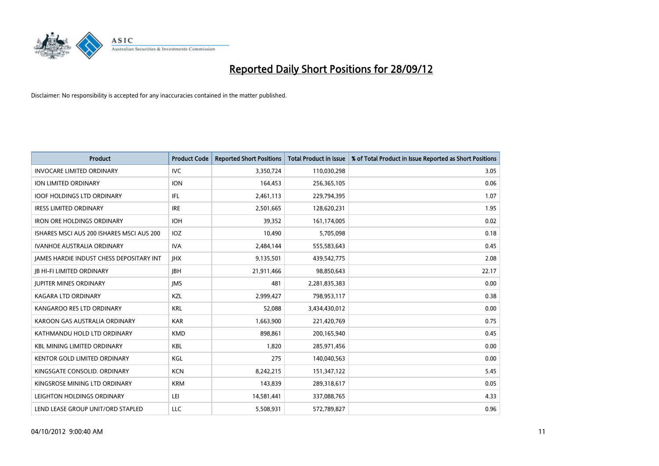

| <b>Product</b>                            | <b>Product Code</b> | <b>Reported Short Positions</b> | <b>Total Product in Issue</b> | % of Total Product in Issue Reported as Short Positions |
|-------------------------------------------|---------------------|---------------------------------|-------------------------------|---------------------------------------------------------|
| <b>INVOCARE LIMITED ORDINARY</b>          | <b>IVC</b>          | 3,350,724                       | 110,030,298                   | 3.05                                                    |
| ION LIMITED ORDINARY                      | <b>ION</b>          | 164,453                         | 256,365,105                   | 0.06                                                    |
| <b>IOOF HOLDINGS LTD ORDINARY</b>         | IFL                 | 2,461,113                       | 229,794,395                   | 1.07                                                    |
| <b>IRESS LIMITED ORDINARY</b>             | <b>IRE</b>          | 2,501,665                       | 128,620,231                   | 1.95                                                    |
| <b>IRON ORE HOLDINGS ORDINARY</b>         | <b>IOH</b>          | 39,352                          | 161,174,005                   | 0.02                                                    |
| ISHARES MSCI AUS 200 ISHARES MSCI AUS 200 | <b>IOZ</b>          | 10,490                          | 5,705,098                     | 0.18                                                    |
| <b>IVANHOE AUSTRALIA ORDINARY</b>         | <b>IVA</b>          | 2,484,144                       | 555,583,643                   | 0.45                                                    |
| JAMES HARDIE INDUST CHESS DEPOSITARY INT  | <b>IHX</b>          | 9,135,501                       | 439,542,775                   | 2.08                                                    |
| <b>IB HI-FI LIMITED ORDINARY</b>          | <b>IBH</b>          | 21,911,466                      | 98,850,643                    | 22.17                                                   |
| <b>JUPITER MINES ORDINARY</b>             | <b>IMS</b>          | 481                             | 2,281,835,383                 | 0.00                                                    |
| KAGARA LTD ORDINARY                       | <b>KZL</b>          | 2,999,427                       | 798,953,117                   | 0.38                                                    |
| KANGAROO RES LTD ORDINARY                 | <b>KRL</b>          | 52,088                          | 3,434,430,012                 | 0.00                                                    |
| KAROON GAS AUSTRALIA ORDINARY             | <b>KAR</b>          | 1,663,900                       | 221,420,769                   | 0.75                                                    |
| KATHMANDU HOLD LTD ORDINARY               | <b>KMD</b>          | 898,861                         | 200,165,940                   | 0.45                                                    |
| <b>KBL MINING LIMITED ORDINARY</b>        | <b>KBL</b>          | 1,820                           | 285,971,456                   | 0.00                                                    |
| KENTOR GOLD LIMITED ORDINARY              | KGL                 | 275                             | 140,040,563                   | 0.00                                                    |
| KINGSGATE CONSOLID. ORDINARY              | <b>KCN</b>          | 8,242,215                       | 151,347,122                   | 5.45                                                    |
| KINGSROSE MINING LTD ORDINARY             | <b>KRM</b>          | 143,839                         | 289,318,617                   | 0.05                                                    |
| LEIGHTON HOLDINGS ORDINARY                | LEI                 | 14,581,441                      | 337,088,765                   | 4.33                                                    |
| LEND LEASE GROUP UNIT/ORD STAPLED         | LLC                 | 5,508,931                       | 572,789,827                   | 0.96                                                    |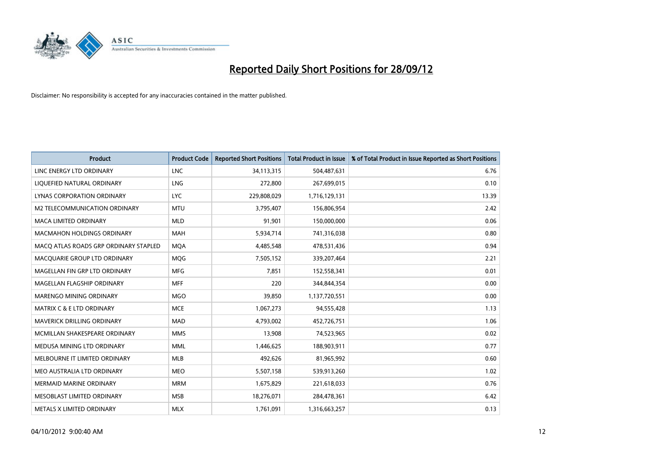

| <b>Product</b>                        | <b>Product Code</b> | <b>Reported Short Positions</b> | <b>Total Product in Issue</b> | % of Total Product in Issue Reported as Short Positions |
|---------------------------------------|---------------------|---------------------------------|-------------------------------|---------------------------------------------------------|
| LINC ENERGY LTD ORDINARY              | <b>LNC</b>          | 34,113,315                      | 504,487,631                   | 6.76                                                    |
| LIQUEFIED NATURAL ORDINARY            | LNG                 | 272,800                         | 267,699,015                   | 0.10                                                    |
| LYNAS CORPORATION ORDINARY            | LYC.                | 229,808,029                     | 1,716,129,131                 | 13.39                                                   |
| M2 TELECOMMUNICATION ORDINARY         | <b>MTU</b>          | 3,795,407                       | 156,806,954                   | 2.42                                                    |
| <b>MACA LIMITED ORDINARY</b>          | <b>MLD</b>          | 91,901                          | 150,000,000                   | 0.06                                                    |
| <b>MACMAHON HOLDINGS ORDINARY</b>     | <b>MAH</b>          | 5,934,714                       | 741,316,038                   | 0.80                                                    |
| MACO ATLAS ROADS GRP ORDINARY STAPLED | <b>MOA</b>          | 4,485,548                       | 478,531,436                   | 0.94                                                    |
| MACQUARIE GROUP LTD ORDINARY          | <b>MOG</b>          | 7,505,152                       | 339,207,464                   | 2.21                                                    |
| MAGELLAN FIN GRP LTD ORDINARY         | <b>MFG</b>          | 7,851                           | 152,558,341                   | 0.01                                                    |
| MAGELLAN FLAGSHIP ORDINARY            | <b>MFF</b>          | 220                             | 344,844,354                   | 0.00                                                    |
| MARENGO MINING ORDINARY               | <b>MGO</b>          | 39,850                          | 1,137,720,551                 | 0.00                                                    |
| <b>MATRIX C &amp; E LTD ORDINARY</b>  | <b>MCE</b>          | 1,067,273                       | 94,555,428                    | 1.13                                                    |
| MAVERICK DRILLING ORDINARY            | <b>MAD</b>          | 4,793,002                       | 452,726,751                   | 1.06                                                    |
| MCMILLAN SHAKESPEARE ORDINARY         | <b>MMS</b>          | 13,908                          | 74,523,965                    | 0.02                                                    |
| MEDUSA MINING LTD ORDINARY            | <b>MML</b>          | 1,446,625                       | 188,903,911                   | 0.77                                                    |
| MELBOURNE IT LIMITED ORDINARY         | <b>MLB</b>          | 492,626                         | 81,965,992                    | 0.60                                                    |
| MEO AUSTRALIA LTD ORDINARY            | <b>MEO</b>          | 5,507,158                       | 539,913,260                   | 1.02                                                    |
| <b>MERMAID MARINE ORDINARY</b>        | <b>MRM</b>          | 1,675,829                       | 221,618,033                   | 0.76                                                    |
| MESOBLAST LIMITED ORDINARY            | <b>MSB</b>          | 18,276,071                      | 284,478,361                   | 6.42                                                    |
| METALS X LIMITED ORDINARY             | <b>MLX</b>          | 1,761,091                       | 1,316,663,257                 | 0.13                                                    |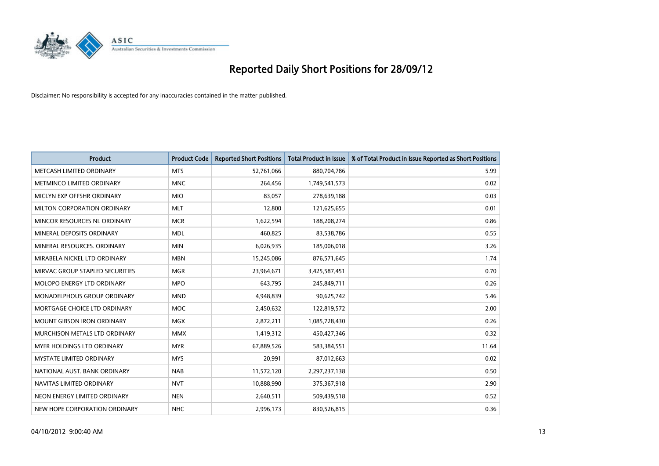

| <b>Product</b>                       | <b>Product Code</b> | <b>Reported Short Positions</b> | <b>Total Product in Issue</b> | % of Total Product in Issue Reported as Short Positions |
|--------------------------------------|---------------------|---------------------------------|-------------------------------|---------------------------------------------------------|
| METCASH LIMITED ORDINARY             | <b>MTS</b>          | 52,761,066                      | 880,704,786                   | 5.99                                                    |
| METMINCO LIMITED ORDINARY            | <b>MNC</b>          | 264,456                         | 1,749,541,573                 | 0.02                                                    |
| MICLYN EXP OFFSHR ORDINARY           | <b>MIO</b>          | 83,057                          | 278,639,188                   | 0.03                                                    |
| MILTON CORPORATION ORDINARY          | <b>MLT</b>          | 12,800                          | 121,625,655                   | 0.01                                                    |
| MINCOR RESOURCES NL ORDINARY         | <b>MCR</b>          | 1,622,594                       | 188,208,274                   | 0.86                                                    |
| MINERAL DEPOSITS ORDINARY            | <b>MDL</b>          | 460,825                         | 83,538,786                    | 0.55                                                    |
| MINERAL RESOURCES, ORDINARY          | <b>MIN</b>          | 6,026,935                       | 185,006,018                   | 3.26                                                    |
| MIRABELA NICKEL LTD ORDINARY         | <b>MBN</b>          | 15,245,086                      | 876,571,645                   | 1.74                                                    |
| MIRVAC GROUP STAPLED SECURITIES      | <b>MGR</b>          | 23,964,671                      | 3,425,587,451                 | 0.70                                                    |
| MOLOPO ENERGY LTD ORDINARY           | <b>MPO</b>          | 643,795                         | 245,849,711                   | 0.26                                                    |
| MONADELPHOUS GROUP ORDINARY          | <b>MND</b>          | 4,948,839                       | 90,625,742                    | 5.46                                                    |
| MORTGAGE CHOICE LTD ORDINARY         | <b>MOC</b>          | 2,450,632                       | 122,819,572                   | 2.00                                                    |
| MOUNT GIBSON IRON ORDINARY           | <b>MGX</b>          | 2,872,211                       | 1,085,728,430                 | 0.26                                                    |
| <b>MURCHISON METALS LTD ORDINARY</b> | <b>MMX</b>          | 1,419,312                       | 450,427,346                   | 0.32                                                    |
| <b>MYER HOLDINGS LTD ORDINARY</b>    | <b>MYR</b>          | 67,889,526                      | 583,384,551                   | 11.64                                                   |
| <b>MYSTATE LIMITED ORDINARY</b>      | <b>MYS</b>          | 20,991                          | 87,012,663                    | 0.02                                                    |
| NATIONAL AUST, BANK ORDINARY         | <b>NAB</b>          | 11,572,120                      | 2,297,237,138                 | 0.50                                                    |
| NAVITAS LIMITED ORDINARY             | <b>NVT</b>          | 10,888,990                      | 375,367,918                   | 2.90                                                    |
| NEON ENERGY LIMITED ORDINARY         | <b>NEN</b>          | 2,640,511                       | 509,439,518                   | 0.52                                                    |
| NEW HOPE CORPORATION ORDINARY        | <b>NHC</b>          | 2,996,173                       | 830,526,815                   | 0.36                                                    |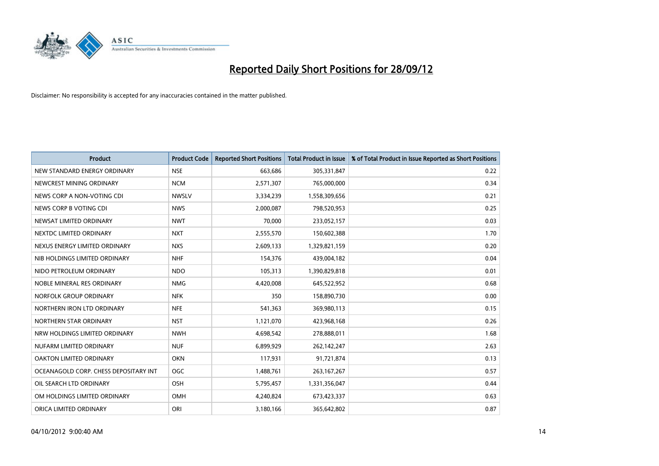

| <b>Product</b>                        | <b>Product Code</b> | <b>Reported Short Positions</b> | <b>Total Product in Issue</b> | % of Total Product in Issue Reported as Short Positions |
|---------------------------------------|---------------------|---------------------------------|-------------------------------|---------------------------------------------------------|
| NEW STANDARD ENERGY ORDINARY          | <b>NSE</b>          | 663.686                         | 305,331,847                   | 0.22                                                    |
| NEWCREST MINING ORDINARY              | <b>NCM</b>          | 2,571,307                       | 765,000,000                   | 0.34                                                    |
| NEWS CORP A NON-VOTING CDI            | <b>NWSLV</b>        | 3,334,239                       | 1,558,309,656                 | 0.21                                                    |
| NEWS CORP B VOTING CDI                | <b>NWS</b>          | 2,000,087                       | 798,520,953                   | 0.25                                                    |
| NEWSAT LIMITED ORDINARY               | <b>NWT</b>          | 70,000                          | 233,052,157                   | 0.03                                                    |
| NEXTDC LIMITED ORDINARY               | <b>NXT</b>          | 2,555,570                       | 150,602,388                   | 1.70                                                    |
| NEXUS ENERGY LIMITED ORDINARY         | <b>NXS</b>          | 2,609,133                       | 1,329,821,159                 | 0.20                                                    |
| NIB HOLDINGS LIMITED ORDINARY         | <b>NHF</b>          | 154,376                         | 439,004,182                   | 0.04                                                    |
| NIDO PETROLEUM ORDINARY               | <b>NDO</b>          | 105,313                         | 1,390,829,818                 | 0.01                                                    |
| NOBLE MINERAL RES ORDINARY            | <b>NMG</b>          | 4,420,008                       | 645,522,952                   | 0.68                                                    |
| NORFOLK GROUP ORDINARY                | <b>NFK</b>          | 350                             | 158,890,730                   | 0.00                                                    |
| NORTHERN IRON LTD ORDINARY            | <b>NFE</b>          | 541,363                         | 369,980,113                   | 0.15                                                    |
| NORTHERN STAR ORDINARY                | <b>NST</b>          | 1,121,070                       | 423,968,168                   | 0.26                                                    |
| NRW HOLDINGS LIMITED ORDINARY         | <b>NWH</b>          | 4,698,542                       | 278,888,011                   | 1.68                                                    |
| NUFARM LIMITED ORDINARY               | <b>NUF</b>          | 6,899,929                       | 262,142,247                   | 2.63                                                    |
| OAKTON LIMITED ORDINARY               | <b>OKN</b>          | 117,931                         | 91,721,874                    | 0.13                                                    |
| OCEANAGOLD CORP. CHESS DEPOSITARY INT | <b>OGC</b>          | 1,488,761                       | 263, 167, 267                 | 0.57                                                    |
| OIL SEARCH LTD ORDINARY               | <b>OSH</b>          | 5,795,457                       | 1,331,356,047                 | 0.44                                                    |
| OM HOLDINGS LIMITED ORDINARY          | <b>OMH</b>          | 4,240,824                       | 673,423,337                   | 0.63                                                    |
| ORICA LIMITED ORDINARY                | ORI                 | 3,180,166                       | 365,642,802                   | 0.87                                                    |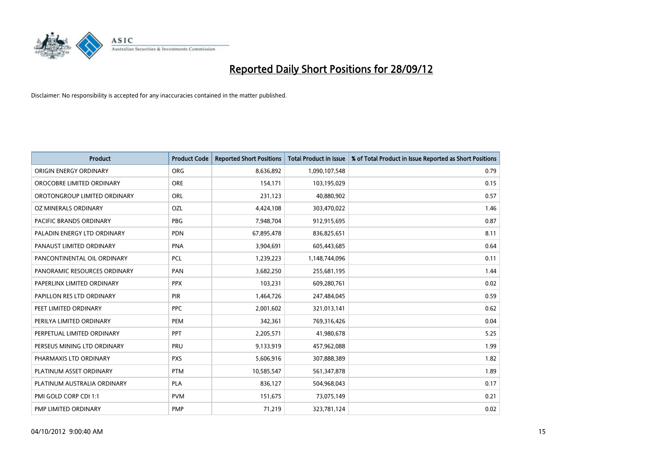

| <b>Product</b>               | <b>Product Code</b> | <b>Reported Short Positions</b> | <b>Total Product in Issue</b> | % of Total Product in Issue Reported as Short Positions |
|------------------------------|---------------------|---------------------------------|-------------------------------|---------------------------------------------------------|
| ORIGIN ENERGY ORDINARY       | <b>ORG</b>          | 8,636,892                       | 1,090,107,548                 | 0.79                                                    |
| OROCOBRE LIMITED ORDINARY    | <b>ORE</b>          | 154,171                         | 103,195,029                   | 0.15                                                    |
| OROTONGROUP LIMITED ORDINARY | ORL                 | 231,123                         | 40,880,902                    | 0.57                                                    |
| OZ MINERALS ORDINARY         | OZL                 | 4,424,108                       | 303,470,022                   | 1.46                                                    |
| PACIFIC BRANDS ORDINARY      | <b>PBG</b>          | 7,948,704                       | 912,915,695                   | 0.87                                                    |
| PALADIN ENERGY LTD ORDINARY  | <b>PDN</b>          | 67,895,478                      | 836,825,651                   | 8.11                                                    |
| PANAUST LIMITED ORDINARY     | <b>PNA</b>          | 3,904,691                       | 605,443,685                   | 0.64                                                    |
| PANCONTINENTAL OIL ORDINARY  | PCL                 | 1,239,223                       | 1,148,744,096                 | 0.11                                                    |
| PANORAMIC RESOURCES ORDINARY | PAN                 | 3,682,250                       | 255,681,195                   | 1.44                                                    |
| PAPERLINX LIMITED ORDINARY   | <b>PPX</b>          | 103,231                         | 609,280,761                   | 0.02                                                    |
| PAPILLON RES LTD ORDINARY    | <b>PIR</b>          | 1,464,726                       | 247,484,045                   | 0.59                                                    |
| PEET LIMITED ORDINARY        | <b>PPC</b>          | 2,001,602                       | 321,013,141                   | 0.62                                                    |
| PERILYA LIMITED ORDINARY     | PEM                 | 342,361                         | 769,316,426                   | 0.04                                                    |
| PERPETUAL LIMITED ORDINARY   | <b>PPT</b>          | 2,205,571                       | 41,980,678                    | 5.25                                                    |
| PERSEUS MINING LTD ORDINARY  | PRU                 | 9,133,919                       | 457,962,088                   | 1.99                                                    |
| PHARMAXIS LTD ORDINARY       | <b>PXS</b>          | 5,606,916                       | 307,888,389                   | 1.82                                                    |
| PLATINUM ASSET ORDINARY      | <b>PTM</b>          | 10,585,547                      | 561,347,878                   | 1.89                                                    |
| PLATINUM AUSTRALIA ORDINARY  | <b>PLA</b>          | 836,127                         | 504,968,043                   | 0.17                                                    |
| PMI GOLD CORP CDI 1:1        | <b>PVM</b>          | 151,675                         | 73,075,149                    | 0.21                                                    |
| PMP LIMITED ORDINARY         | <b>PMP</b>          | 71,219                          | 323,781,124                   | 0.02                                                    |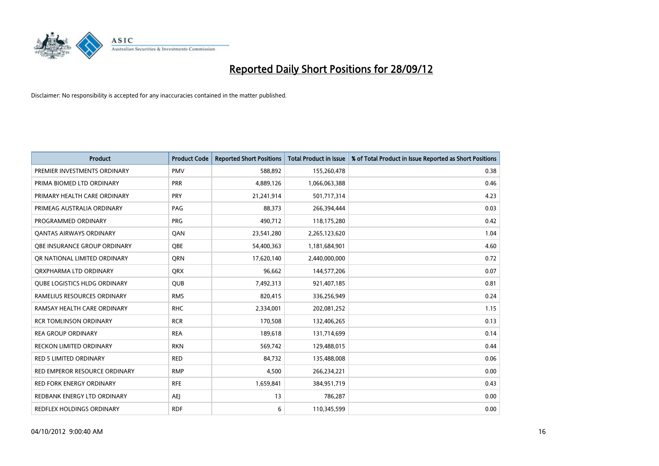

| <b>Product</b>                      | <b>Product Code</b> | <b>Reported Short Positions</b> | Total Product in Issue | % of Total Product in Issue Reported as Short Positions |
|-------------------------------------|---------------------|---------------------------------|------------------------|---------------------------------------------------------|
| PREMIER INVESTMENTS ORDINARY        | <b>PMV</b>          | 588,892                         | 155,260,478            | 0.38                                                    |
| PRIMA BIOMED LTD ORDINARY           | PRR                 | 4,889,126                       | 1,066,063,388          | 0.46                                                    |
| PRIMARY HEALTH CARE ORDINARY        | <b>PRY</b>          | 21,241,914                      | 501,717,314            | 4.23                                                    |
| PRIMEAG AUSTRALIA ORDINARY          | PAG                 | 88,373                          | 266,394,444            | 0.03                                                    |
| PROGRAMMED ORDINARY                 | <b>PRG</b>          | 490,712                         | 118,175,280            | 0.42                                                    |
| <b>QANTAS AIRWAYS ORDINARY</b>      | QAN                 | 23,541,280                      | 2,265,123,620          | 1.04                                                    |
| OBE INSURANCE GROUP ORDINARY        | <b>OBE</b>          | 54,400,363                      | 1,181,684,901          | 4.60                                                    |
| OR NATIONAL LIMITED ORDINARY        | <b>ORN</b>          | 17,620,140                      | 2,440,000,000          | 0.72                                                    |
| ORXPHARMA LTD ORDINARY              | <b>QRX</b>          | 96,662                          | 144,577,206            | 0.07                                                    |
| <b>QUBE LOGISTICS HLDG ORDINARY</b> | <b>QUB</b>          | 7,492,313                       | 921,407,185            | 0.81                                                    |
| RAMELIUS RESOURCES ORDINARY         | <b>RMS</b>          | 820,415                         | 336,256,949            | 0.24                                                    |
| RAMSAY HEALTH CARE ORDINARY         | <b>RHC</b>          | 2,334,001                       | 202,081,252            | 1.15                                                    |
| <b>RCR TOMLINSON ORDINARY</b>       | <b>RCR</b>          | 170,508                         | 132,406,265            | 0.13                                                    |
| <b>REA GROUP ORDINARY</b>           | <b>REA</b>          | 189,618                         | 131,714,699            | 0.14                                                    |
| <b>RECKON LIMITED ORDINARY</b>      | <b>RKN</b>          | 569,742                         | 129,488,015            | 0.44                                                    |
| <b>RED 5 LIMITED ORDINARY</b>       | <b>RED</b>          | 84,732                          | 135,488,008            | 0.06                                                    |
| RED EMPEROR RESOURCE ORDINARY       | <b>RMP</b>          | 4,500                           | 266,234,221            | 0.00                                                    |
| <b>RED FORK ENERGY ORDINARY</b>     | <b>RFE</b>          | 1,659,841                       | 384,951,719            | 0.43                                                    |
| REDBANK ENERGY LTD ORDINARY         | AEJ                 | 13                              | 786,287                | 0.00                                                    |
| REDFLEX HOLDINGS ORDINARY           | <b>RDF</b>          | 6                               | 110,345,599            | 0.00                                                    |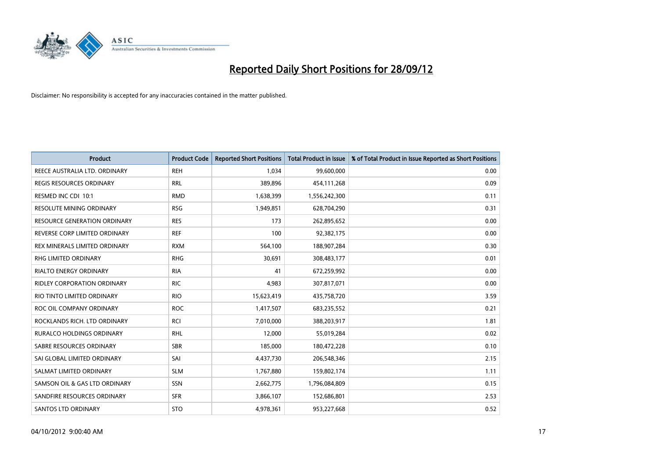

| <b>Product</b>                      | <b>Product Code</b> | <b>Reported Short Positions</b> | <b>Total Product in Issue</b> | % of Total Product in Issue Reported as Short Positions |
|-------------------------------------|---------------------|---------------------------------|-------------------------------|---------------------------------------------------------|
| REECE AUSTRALIA LTD. ORDINARY       | <b>REH</b>          | 1.034                           | 99,600,000                    | 0.00                                                    |
| REGIS RESOURCES ORDINARY            | <b>RRL</b>          | 389,896                         | 454,111,268                   | 0.09                                                    |
| RESMED INC CDI 10:1                 | <b>RMD</b>          | 1,638,399                       | 1,556,242,300                 | 0.11                                                    |
| <b>RESOLUTE MINING ORDINARY</b>     | <b>RSG</b>          | 1,949,851                       | 628,704,290                   | 0.31                                                    |
| <b>RESOURCE GENERATION ORDINARY</b> | <b>RES</b>          | 173                             | 262,895,652                   | 0.00                                                    |
| REVERSE CORP LIMITED ORDINARY       | <b>REF</b>          | 100                             | 92,382,175                    | 0.00                                                    |
| REX MINERALS LIMITED ORDINARY       | <b>RXM</b>          | 564,100                         | 188,907,284                   | 0.30                                                    |
| <b>RHG LIMITED ORDINARY</b>         | <b>RHG</b>          | 30,691                          | 308,483,177                   | 0.01                                                    |
| <b>RIALTO ENERGY ORDINARY</b>       | <b>RIA</b>          | 41                              | 672,259,992                   | 0.00                                                    |
| <b>RIDLEY CORPORATION ORDINARY</b>  | <b>RIC</b>          | 4.983                           | 307,817,071                   | 0.00                                                    |
| RIO TINTO LIMITED ORDINARY          | <b>RIO</b>          | 15,623,419                      | 435,758,720                   | 3.59                                                    |
| ROC OIL COMPANY ORDINARY            | <b>ROC</b>          | 1,417,507                       | 683,235,552                   | 0.21                                                    |
| ROCKLANDS RICH. LTD ORDINARY        | <b>RCI</b>          | 7,010,000                       | 388,203,917                   | 1.81                                                    |
| <b>RURALCO HOLDINGS ORDINARY</b>    | <b>RHL</b>          | 12,000                          | 55,019,284                    | 0.02                                                    |
| SABRE RESOURCES ORDINARY            | <b>SBR</b>          | 185,000                         | 180,472,228                   | 0.10                                                    |
| SAI GLOBAL LIMITED ORDINARY         | SAI                 | 4,437,730                       | 206,548,346                   | 2.15                                                    |
| SALMAT LIMITED ORDINARY             | <b>SLM</b>          | 1,767,880                       | 159,802,174                   | 1.11                                                    |
| SAMSON OIL & GAS LTD ORDINARY       | SSN                 | 2,662,775                       | 1,796,084,809                 | 0.15                                                    |
| SANDFIRE RESOURCES ORDINARY         | <b>SFR</b>          | 3,866,107                       | 152,686,801                   | 2.53                                                    |
| <b>SANTOS LTD ORDINARY</b>          | <b>STO</b>          | 4,978,361                       | 953,227,668                   | 0.52                                                    |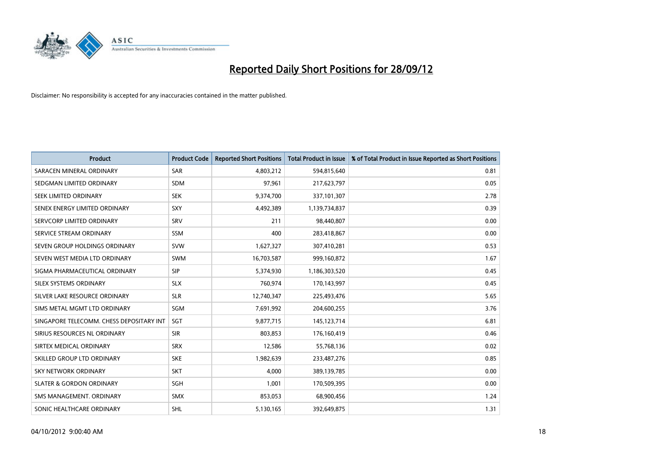

| <b>Product</b>                           | <b>Product Code</b> | <b>Reported Short Positions</b> | <b>Total Product in Issue</b> | % of Total Product in Issue Reported as Short Positions |
|------------------------------------------|---------------------|---------------------------------|-------------------------------|---------------------------------------------------------|
| SARACEN MINERAL ORDINARY                 | <b>SAR</b>          | 4,803,212                       | 594,815,640                   | 0.81                                                    |
| SEDGMAN LIMITED ORDINARY                 | <b>SDM</b>          | 97,961                          | 217,623,797                   | 0.05                                                    |
| SEEK LIMITED ORDINARY                    | <b>SEK</b>          | 9,374,700                       | 337,101,307                   | 2.78                                                    |
| SENEX ENERGY LIMITED ORDINARY            | SXY                 | 4,492,389                       | 1,139,734,837                 | 0.39                                                    |
| SERVCORP LIMITED ORDINARY                | SRV                 | 211                             | 98,440,807                    | 0.00                                                    |
| SERVICE STREAM ORDINARY                  | <b>SSM</b>          | 400                             | 283,418,867                   | 0.00                                                    |
| SEVEN GROUP HOLDINGS ORDINARY            | <b>SVW</b>          | 1,627,327                       | 307,410,281                   | 0.53                                                    |
| SEVEN WEST MEDIA LTD ORDINARY            | <b>SWM</b>          | 16,703,587                      | 999,160,872                   | 1.67                                                    |
| SIGMA PHARMACEUTICAL ORDINARY            | <b>SIP</b>          | 5,374,930                       | 1,186,303,520                 | 0.45                                                    |
| SILEX SYSTEMS ORDINARY                   | <b>SLX</b>          | 760,974                         | 170,143,997                   | 0.45                                                    |
| SILVER LAKE RESOURCE ORDINARY            | <b>SLR</b>          | 12,740,347                      | 225,493,476                   | 5.65                                                    |
| SIMS METAL MGMT LTD ORDINARY             | SGM                 | 7,691,992                       | 204,600,255                   | 3.76                                                    |
| SINGAPORE TELECOMM. CHESS DEPOSITARY INT | SGT                 | 9,877,715                       | 145, 123, 714                 | 6.81                                                    |
| SIRIUS RESOURCES NL ORDINARY             | <b>SIR</b>          | 803,853                         | 176,160,419                   | 0.46                                                    |
| SIRTEX MEDICAL ORDINARY                  | <b>SRX</b>          | 12,586                          | 55,768,136                    | 0.02                                                    |
| SKILLED GROUP LTD ORDINARY               | <b>SKE</b>          | 1,982,639                       | 233,487,276                   | 0.85                                                    |
| SKY NETWORK ORDINARY                     | <b>SKT</b>          | 4,000                           | 389,139,785                   | 0.00                                                    |
| <b>SLATER &amp; GORDON ORDINARY</b>      | SGH                 | 1,001                           | 170,509,395                   | 0.00                                                    |
| SMS MANAGEMENT, ORDINARY                 | <b>SMX</b>          | 853,053                         | 68,900,456                    | 1.24                                                    |
| SONIC HEALTHCARE ORDINARY                | <b>SHL</b>          | 5,130,165                       | 392,649,875                   | 1.31                                                    |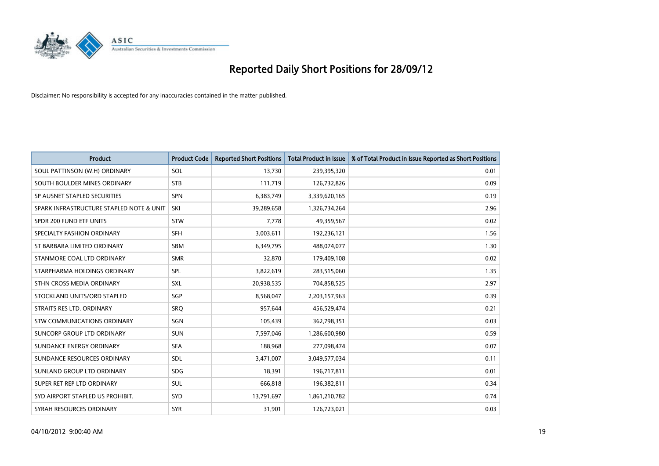

| <b>Product</b>                           | <b>Product Code</b> | <b>Reported Short Positions</b> | <b>Total Product in Issue</b> | % of Total Product in Issue Reported as Short Positions |
|------------------------------------------|---------------------|---------------------------------|-------------------------------|---------------------------------------------------------|
| SOUL PATTINSON (W.H) ORDINARY            | SOL                 | 13.730                          | 239,395,320                   | 0.01                                                    |
| SOUTH BOULDER MINES ORDINARY             | <b>STB</b>          | 111,719                         | 126,732,826                   | 0.09                                                    |
| SP AUSNET STAPLED SECURITIES             | <b>SPN</b>          | 6,383,749                       | 3,339,620,165                 | 0.19                                                    |
| SPARK INFRASTRUCTURE STAPLED NOTE & UNIT | SKI                 | 39,289,658                      | 1,326,734,264                 | 2.96                                                    |
| SPDR 200 FUND ETF UNITS                  | <b>STW</b>          | 7,778                           | 49,359,567                    | 0.02                                                    |
| SPECIALTY FASHION ORDINARY               | <b>SFH</b>          | 3,003,611                       | 192,236,121                   | 1.56                                                    |
| ST BARBARA LIMITED ORDINARY              | <b>SBM</b>          | 6,349,795                       | 488,074,077                   | 1.30                                                    |
| STANMORE COAL LTD ORDINARY               | <b>SMR</b>          | 32,870                          | 179,409,108                   | 0.02                                                    |
| STARPHARMA HOLDINGS ORDINARY             | SPL                 | 3,822,619                       | 283,515,060                   | 1.35                                                    |
| STHN CROSS MEDIA ORDINARY                | <b>SXL</b>          | 20,938,535                      | 704,858,525                   | 2.97                                                    |
| STOCKLAND UNITS/ORD STAPLED              | SGP                 | 8,568,047                       | 2,203,157,963                 | 0.39                                                    |
| STRAITS RES LTD. ORDINARY                | SRQ                 | 957,644                         | 456,529,474                   | 0.21                                                    |
| STW COMMUNICATIONS ORDINARY              | SGN                 | 105,439                         | 362,798,351                   | 0.03                                                    |
| SUNCORP GROUP LTD ORDINARY               | <b>SUN</b>          | 7,597,046                       | 1,286,600,980                 | 0.59                                                    |
| SUNDANCE ENERGY ORDINARY                 | <b>SEA</b>          | 188,968                         | 277,098,474                   | 0.07                                                    |
| SUNDANCE RESOURCES ORDINARY              | <b>SDL</b>          | 3,471,007                       | 3,049,577,034                 | 0.11                                                    |
| SUNLAND GROUP LTD ORDINARY               | <b>SDG</b>          | 18,391                          | 196,717,811                   | 0.01                                                    |
| SUPER RET REP LTD ORDINARY               | <b>SUL</b>          | 666,818                         | 196,382,811                   | 0.34                                                    |
| SYD AIRPORT STAPLED US PROHIBIT.         | <b>SYD</b>          | 13,791,697                      | 1,861,210,782                 | 0.74                                                    |
| SYRAH RESOURCES ORDINARY                 | <b>SYR</b>          | 31,901                          | 126,723,021                   | 0.03                                                    |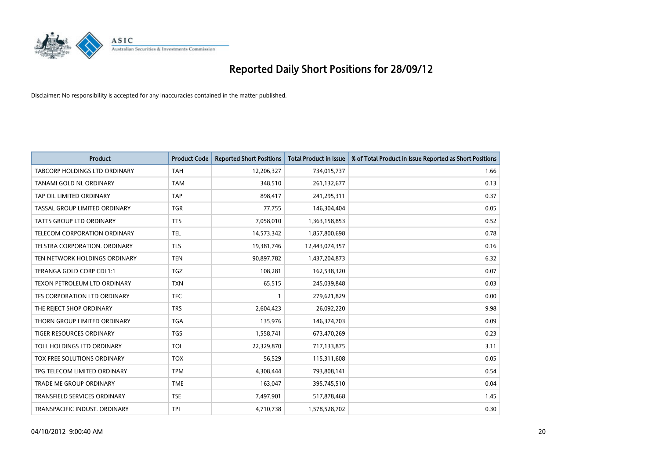

| <b>Product</b>                       | <b>Product Code</b> | <b>Reported Short Positions</b> | <b>Total Product in Issue</b> | % of Total Product in Issue Reported as Short Positions |
|--------------------------------------|---------------------|---------------------------------|-------------------------------|---------------------------------------------------------|
| <b>TABCORP HOLDINGS LTD ORDINARY</b> | <b>TAH</b>          | 12,206,327                      | 734,015,737                   | 1.66                                                    |
| TANAMI GOLD NL ORDINARY              | <b>TAM</b>          | 348,510                         | 261,132,677                   | 0.13                                                    |
| TAP OIL LIMITED ORDINARY             | <b>TAP</b>          | 898.417                         | 241,295,311                   | 0.37                                                    |
| TASSAL GROUP LIMITED ORDINARY        | <b>TGR</b>          | 77,755                          | 146,304,404                   | 0.05                                                    |
| <b>TATTS GROUP LTD ORDINARY</b>      | <b>TTS</b>          | 7,058,010                       | 1,363,158,853                 | 0.52                                                    |
| <b>TELECOM CORPORATION ORDINARY</b>  | <b>TEL</b>          | 14,573,342                      | 1,857,800,698                 | 0.78                                                    |
| TELSTRA CORPORATION, ORDINARY        | <b>TLS</b>          | 19,381,746                      | 12,443,074,357                | 0.16                                                    |
| TEN NETWORK HOLDINGS ORDINARY        | <b>TEN</b>          | 90,897,782                      | 1,437,204,873                 | 6.32                                                    |
| TERANGA GOLD CORP CDI 1:1            | <b>TGZ</b>          | 108,281                         | 162,538,320                   | 0.07                                                    |
| TEXON PETROLEUM LTD ORDINARY         | <b>TXN</b>          | 65,515                          | 245,039,848                   | 0.03                                                    |
| TFS CORPORATION LTD ORDINARY         | <b>TFC</b>          |                                 | 279,621,829                   | 0.00                                                    |
| THE REJECT SHOP ORDINARY             | <b>TRS</b>          | 2,604,423                       | 26,092,220                    | 9.98                                                    |
| THORN GROUP LIMITED ORDINARY         | <b>TGA</b>          | 135,976                         | 146,374,703                   | 0.09                                                    |
| TIGER RESOURCES ORDINARY             | <b>TGS</b>          | 1,558,741                       | 673,470,269                   | 0.23                                                    |
| TOLL HOLDINGS LTD ORDINARY           | <b>TOL</b>          | 22,329,870                      | 717,133,875                   | 3.11                                                    |
| TOX FREE SOLUTIONS ORDINARY          | <b>TOX</b>          | 56,529                          | 115,311,608                   | 0.05                                                    |
| TPG TELECOM LIMITED ORDINARY         | <b>TPM</b>          | 4,308,444                       | 793,808,141                   | 0.54                                                    |
| TRADE ME GROUP ORDINARY              | <b>TME</b>          | 163,047                         | 395,745,510                   | 0.04                                                    |
| TRANSFIELD SERVICES ORDINARY         | <b>TSE</b>          | 7,497,901                       | 517,878,468                   | 1.45                                                    |
| TRANSPACIFIC INDUST. ORDINARY        | <b>TPI</b>          | 4,710,738                       | 1,578,528,702                 | 0.30                                                    |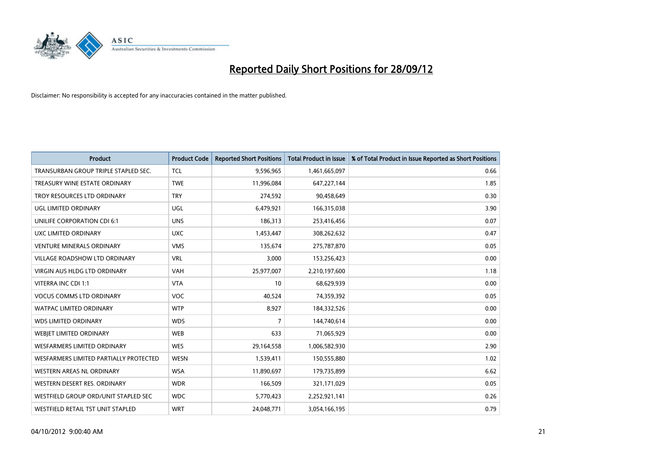

| <b>Product</b>                         | <b>Product Code</b> | <b>Reported Short Positions</b> | <b>Total Product in Issue</b> | % of Total Product in Issue Reported as Short Positions |
|----------------------------------------|---------------------|---------------------------------|-------------------------------|---------------------------------------------------------|
| TRANSURBAN GROUP TRIPLE STAPLED SEC.   | <b>TCL</b>          | 9,596,965                       | 1,461,665,097                 | 0.66                                                    |
| TREASURY WINE ESTATE ORDINARY          | <b>TWE</b>          | 11,996,084                      | 647,227,144                   | 1.85                                                    |
| TROY RESOURCES LTD ORDINARY            | <b>TRY</b>          | 274,592                         | 90,458,649                    | 0.30                                                    |
| UGL LIMITED ORDINARY                   | <b>UGL</b>          | 6,479,921                       | 166,315,038                   | 3.90                                                    |
| UNILIFE CORPORATION CDI 6:1            | <b>UNS</b>          | 186,313                         | 253,416,456                   | 0.07                                                    |
| UXC LIMITED ORDINARY                   | <b>UXC</b>          | 1,453,447                       | 308,262,632                   | 0.47                                                    |
| <b>VENTURE MINERALS ORDINARY</b>       | <b>VMS</b>          | 135,674                         | 275,787,870                   | 0.05                                                    |
| <b>VILLAGE ROADSHOW LTD ORDINARY</b>   | <b>VRL</b>          | 3,000                           | 153,256,423                   | 0.00                                                    |
| <b>VIRGIN AUS HLDG LTD ORDINARY</b>    | <b>VAH</b>          | 25,977,007                      | 2,210,197,600                 | 1.18                                                    |
| VITERRA INC CDI 1:1                    | <b>VTA</b>          | 10                              | 68,629,939                    | 0.00                                                    |
| <b>VOCUS COMMS LTD ORDINARY</b>        | <b>VOC</b>          | 40,524                          | 74,359,392                    | 0.05                                                    |
| <b>WATPAC LIMITED ORDINARY</b>         | <b>WTP</b>          | 8,927                           | 184,332,526                   | 0.00                                                    |
| <b>WDS LIMITED ORDINARY</b>            | <b>WDS</b>          | 7                               | 144,740,614                   | 0.00                                                    |
| WEBIET LIMITED ORDINARY                | <b>WEB</b>          | 633                             | 71,065,929                    | 0.00                                                    |
| <b>WESFARMERS LIMITED ORDINARY</b>     | <b>WES</b>          | 29,164,558                      | 1,006,582,930                 | 2.90                                                    |
| WESFARMERS LIMITED PARTIALLY PROTECTED | <b>WESN</b>         | 1,539,411                       | 150,555,880                   | 1.02                                                    |
| WESTERN AREAS NL ORDINARY              | <b>WSA</b>          | 11,890,697                      | 179,735,899                   | 6.62                                                    |
| WESTERN DESERT RES. ORDINARY           | <b>WDR</b>          | 166,509                         | 321,171,029                   | 0.05                                                    |
| WESTFIELD GROUP ORD/UNIT STAPLED SEC   | <b>WDC</b>          | 5,770,423                       | 2,252,921,141                 | 0.26                                                    |
| WESTFIELD RETAIL TST UNIT STAPLED      | <b>WRT</b>          | 24,048,771                      | 3,054,166,195                 | 0.79                                                    |